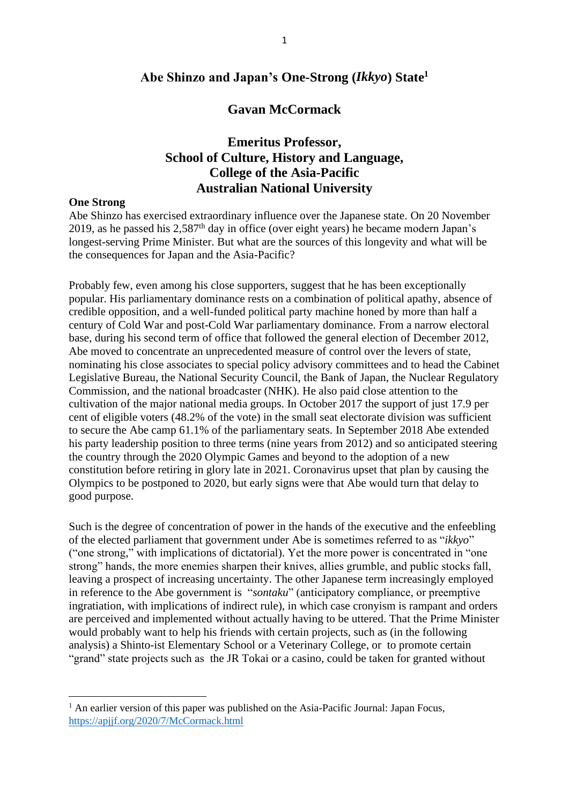## **Abe Shinzo and Japan's One-Strong (***Ikkyo***) State<sup>1</sup>**

## **Gavan McCormack**

# **Emeritus Professor, School of Culture, History and Language, College of the Asia-Pacific Australian National University**

#### **One Strong**

Abe Shinzo has exercised extraordinary influence over the Japanese state. On 20 November 2019, as he passed his  $2.587<sup>th</sup>$  day in office (over eight years) he became modern Japan's longest-serving Prime Minister. But what are the sources of this longevity and what will be the consequences for Japan and the Asia-Pacific?

Probably few, even among his close supporters, suggest that he has been exceptionally popular. His parliamentary dominance rests on a combination of political apathy, absence of credible opposition, and a well-funded political party machine honed by more than half a century of Cold War and post-Cold War parliamentary dominance. From a narrow electoral base, during his second term of office that followed the general election of December 2012, Abe moved to concentrate an unprecedented measure of control over the levers of state, nominating his close associates to special policy advisory committees and to head the Cabinet Legislative Bureau, the National Security Council, the Bank of Japan, the Nuclear Regulatory Commission, and the national broadcaster (NHK). He also paid close attention to the cultivation of the major national media groups. In October 2017 the support of just 17.9 per cent of eligible voters (48.2% of the vote) in the small seat electorate division was sufficient to secure the Abe camp 61.1% of the parliamentary seats. In September 2018 Abe extended his party leadership position to three terms (nine years from 2012) and so anticipated steering the country through the 2020 Olympic Games and beyond to the adoption of a new constitution before retiring in glory late in 2021. Coronavirus upset that plan by causing the Olympics to be postponed to 2020, but early signs were that Abe would turn that delay to good purpose.

Such is the degree of concentration of power in the hands of the executive and the enfeebling of the elected parliament that government under Abe is sometimes referred to as "*ikkyo*" ("one strong," with implications of dictatorial). Yet the more power is concentrated in "one strong" hands, the more enemies sharpen their knives, allies grumble, and public stocks fall, leaving a prospect of increasing uncertainty. The other Japanese term increasingly employed in reference to the Abe government is "*sontaku*" (anticipatory compliance, or preemptive ingratiation, with implications of indirect rule), in which case cronyism is rampant and orders are perceived and implemented without actually having to be uttered. That the Prime Minister would probably want to help his friends with certain projects, such as (in the following analysis) a Shinto-ist Elementary School or a Veterinary College, or to promote certain "grand" state projects such as the JR Tokai or a casino, could be taken for granted without

<sup>&</sup>lt;sup>1</sup> An earlier version of this paper was published on the Asia-Pacific Journal: Japan Focus, <https://apjjf.org/2020/7/McCormack.html>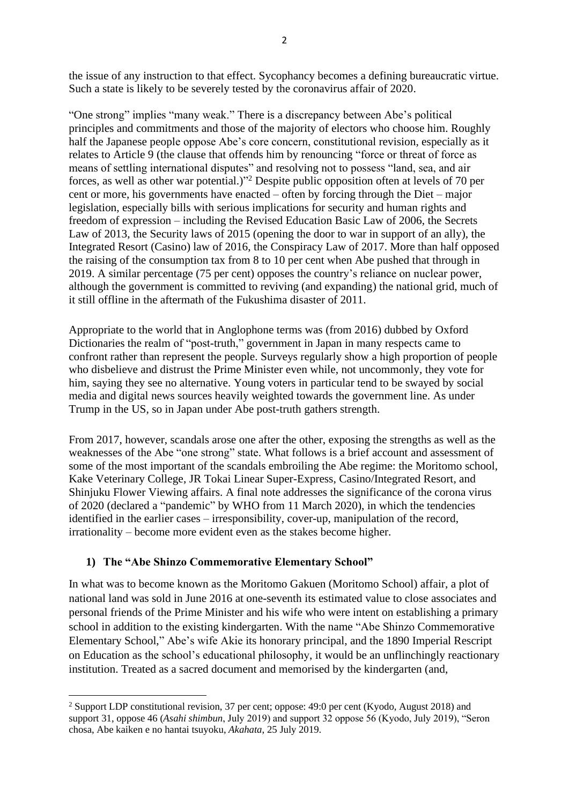the issue of any instruction to that effect. Sycophancy becomes a defining bureaucratic virtue. Such a state is likely to be severely tested by the coronavirus affair of 2020.

"One strong" implies "many weak." There is a discrepancy between Abe's political principles and commitments and those of the majority of electors who choose him. Roughly half the Japanese people oppose Abe's core concern, constitutional revision, especially as it relates to Article 9 (the clause that offends him by renouncing "force or threat of force as means of settling international disputes" and resolving not to possess "land, sea, and air forces, as well as other war potential.)" <sup>2</sup> Despite public opposition often at levels of 70 per cent or more, his governments have enacted – often by forcing through the Diet – major legislation, especially bills with serious implications for security and human rights and freedom of expression – including the Revised Education Basic Law of 2006, the Secrets Law of 2013, the Security laws of 2015 (opening the door to war in support of an ally), the Integrated Resort (Casino) law of 2016, the Conspiracy Law of 2017. More than half opposed the raising of the consumption tax from 8 to 10 per cent when Abe pushed that through in 2019. A similar percentage (75 per cent) opposes the country's reliance on nuclear power, although the government is committed to reviving (and expanding) the national grid, much of it still offline in the aftermath of the Fukushima disaster of 2011.

Appropriate to the world that in Anglophone terms was (from 2016) dubbed by Oxford Dictionaries the realm of "post-truth," government in Japan in many respects came to confront rather than represent the people. Surveys regularly show a high proportion of people who disbelieve and distrust the Prime Minister even while, not uncommonly, they vote for him, saying they see no alternative. Young voters in particular tend to be swayed by social media and digital news sources heavily weighted towards the government line. As under Trump in the US, so in Japan under Abe post-truth gathers strength.

From 2017, however, scandals arose one after the other, exposing the strengths as well as the weaknesses of the Abe "one strong" state. What follows is a brief account and assessment of some of the most important of the scandals embroiling the Abe regime: the Moritomo school, Kake Veterinary College, JR Tokai Linear Super-Express, Casino/Integrated Resort, and Shinjuku Flower Viewing affairs. A final note addresses the significance of the corona virus of 2020 (declared a "pandemic" by WHO from 11 March 2020), in which the tendencies identified in the earlier cases – irresponsibility, cover-up, manipulation of the record, irrationality – become more evident even as the stakes become higher.

## **1) The "Abe Shinzo Commemorative Elementary School"**

In what was to become known as the Moritomo Gakuen (Moritomo School) affair, a plot of national land was sold in June 2016 at one-seventh its estimated value to close associates and personal friends of the Prime Minister and his wife who were intent on establishing a primary school in addition to the existing kindergarten. With the name "Abe Shinzo Commemorative Elementary School," Abe's wife Akie its honorary principal, and the 1890 Imperial Rescript on Education as the school's educational philosophy, it would be an unflinchingly reactionary institution. Treated as a sacred document and memorised by the kindergarten (and,

<sup>2</sup> Support LDP constitutional revision, 37 per cent; oppose: 49:0 per cent (Kyodo, August 2018) and support 31, oppose 46 (*Asahi shimbun*, July 2019) and support 32 oppose 56 (Kyodo, July 2019), "Seron chosa, Abe kaiken e no hantai tsuyoku, *Akahata*, 25 July 2019.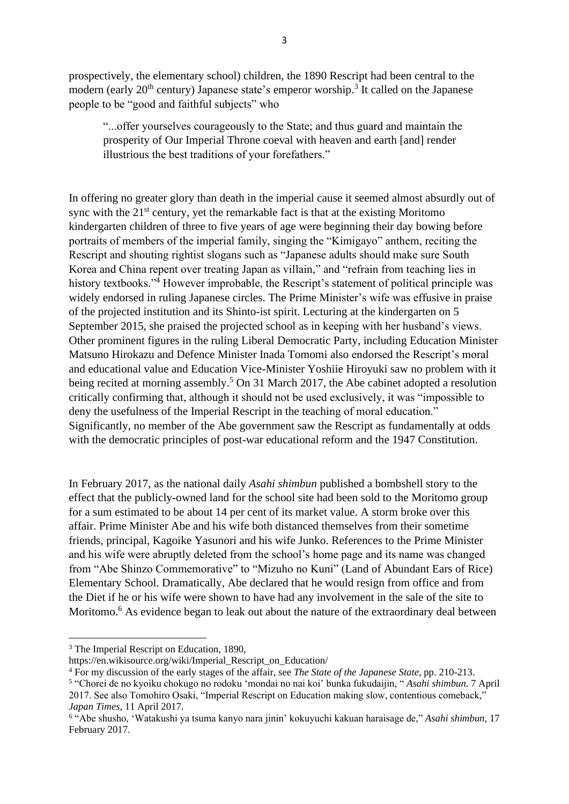prospectively, the elementary school) children, the 1890 Rescript had been central to the modern (early  $20<sup>th</sup>$  century) Japanese state's emperor worship.<sup>3</sup> It called on the Japanese people to be "good and faithful subjects" who

"...offer yourselves courageously to the State; and thus guard and maintain the prosperity of Our Imperial Throne coeval with heaven and earth [and] render illustrious the best traditions of your forefathers."

In offering no greater glory than death in the imperial cause it seemed almost absurdly out of sync with the  $21<sup>st</sup>$  century, yet the remarkable fact is that at the existing Moritomo kindergarten children of three to five years of age were beginning their day bowing before portraits of members of the imperial family, singing the "Kimigayo" anthem, reciting the Rescript and shouting rightist slogans such as "Japanese adults should make sure South Korea and China repent over treating Japan as villain," and "refrain from teaching lies in history textbooks."<sup>4</sup> However improbable, the Rescript's statement of political principle was widely endorsed in ruling Japanese circles. The Prime Minister's wife was effusive in praise of the projected institution and its Shinto-ist spirit. Lecturing at the kindergarten on 5 September 2015, she praised the projected school as in keeping with her husband's views. Other prominent figures in the ruling Liberal Democratic Party, including Education Minister Matsuno Hirokazu and Defence Minister Inada Tomomi also endorsed the Rescript's moral and educational value and Education Vice-Minister Yoshiie Hiroyuki saw no problem with it being recited at morning assembly.<sup>5</sup> On 31 March 2017, the Abe cabinet adopted a resolution critically confirming that, although it should not be used exclusively, it was "impossible to deny the usefulness of the Imperial Rescript in the teaching of moral education." Significantly, no member of the Abe government saw the Rescript as fundamentally at odds with the democratic principles of post-war educational reform and the 1947 Constitution.

In February 2017, as the national daily *Asahi shimbun* published a bombshell story to the effect that the publicly-owned land for the school site had been sold to the Moritomo group for a sum estimated to be about 14 per cent of its market value. A storm broke over this affair. Prime Minister Abe and his wife both distanced themselves from their sometime friends, principal, Kagoike Yasunori and his wife Junko. References to the Prime Minister and his wife were abruptly deleted from the school's home page and its name was changed from "Abe Shinzo Commemorative" to "Mizuho no Kuni" (Land of Abundant Ears of Rice) Elementary School. Dramatically, Abe declared that he would resign from office and from the Diet if he or his wife were shown to have had any involvement in the sale of the site to Moritomo.<sup>6</sup> As evidence began to leak out about the nature of the extraordinary deal between

<sup>&</sup>lt;sup>3</sup> The Imperial Rescript on Education, 1890,

https://en.wikisource.org/wiki/Imperial\_Rescript\_on\_Education/

<sup>4</sup> For my discussion of the early stages of the affair, see *The State of the Japanese State*, pp. 210-213.

<sup>5</sup> "Chorei de no kyoiku chokugo no rodoku 'mondai no nai koi' bunka fukudaijin, " *Asahi shimbun*. 7 April 2017. See also Tomohiro Osaki, "Imperial Rescript on Education making slow, contentious comeback," *Japan Times*, 11 April 2017.

<sup>6</sup> "Abe shusho, 'Watakushi ya tsuma kanyo nara jinin' kokuyuchi kakuan haraisage de," *Asahi shimbun*, 17 February 2017.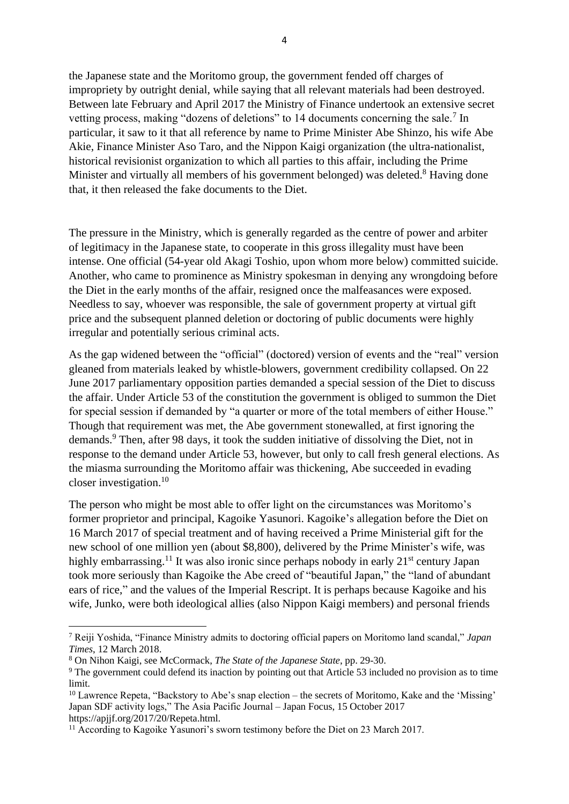the Japanese state and the Moritomo group, the government fended off charges of impropriety by outright denial, while saying that all relevant materials had been destroyed. Between late February and April 2017 the Ministry of Finance undertook an extensive secret vetting process, making "dozens of deletions" to 14 documents concerning the sale.<sup>7</sup> In particular, it saw to it that all reference by name to Prime Minister Abe Shinzo, his wife Abe Akie, Finance Minister Aso Taro, and the Nippon Kaigi organization (the ultra-nationalist, historical revisionist organization to which all parties to this affair, including the Prime Minister and virtually all members of his government belonged) was deleted.<sup>8</sup> Having done that, it then released the fake documents to the Diet.

The pressure in the Ministry, which is generally regarded as the centre of power and arbiter of legitimacy in the Japanese state, to cooperate in this gross illegality must have been intense. One official (54-year old Akagi Toshio, upon whom more below) committed suicide. Another, who came to prominence as Ministry spokesman in denying any wrongdoing before the Diet in the early months of the affair, resigned once the malfeasances were exposed. Needless to say, whoever was responsible, the sale of government property at virtual gift price and the subsequent planned deletion or doctoring of public documents were highly irregular and potentially serious criminal acts.

As the gap widened between the "official" (doctored) version of events and the "real" version gleaned from materials leaked by whistle-blowers, government credibility collapsed. On 22 June 2017 parliamentary opposition parties demanded a special session of the Diet to discuss the affair. Under Article 53 of the constitution the government is obliged to summon the Diet for special session if demanded by "a quarter or more of the total members of either House." Though that requirement was met, the Abe government stonewalled, at first ignoring the demands. <sup>9</sup> Then, after 98 days, it took the sudden initiative of dissolving the Diet, not in response to the demand under Article 53, however, but only to call fresh general elections. As the miasma surrounding the Moritomo affair was thickening, Abe succeeded in evading closer investigation. 10

The person who might be most able to offer light on the circumstances was Moritomo's former proprietor and principal, Kagoike Yasunori. Kagoike's allegation before the Diet on 16 March 2017 of special treatment and of having received a Prime Ministerial gift for the new school of one million yen (about \$8,800), delivered by the Prime Minister's wife, was highly embarrassing.<sup>11</sup> It was also ironic since perhaps nobody in early 21<sup>st</sup> century Japan took more seriously than Kagoike the Abe creed of "beautiful Japan," the "land of abundant ears of rice," and the values of the Imperial Rescript. It is perhaps because Kagoike and his wife, Junko, were both ideological allies (also Nippon Kaigi members) and personal friends

<sup>7</sup> Reiji Yoshida, "Finance Ministry admits to doctoring official papers on Moritomo land scandal," *Japan Times*, 12 March 2018.

<sup>8</sup> On Nihon Kaigi, see McCormack, *The State of the Japanese State*, pp. 29-30.

<sup>9</sup> The government could defend its inaction by pointing out that Article 53 included no provision as to time limit.

<sup>10</sup> Lawrence Repeta, "Backstory to Abe's snap election – the secrets of Moritomo, Kake and the 'Missing' Japan SDF activity logs," The Asia Pacific Journal – Japan Focus, 15 October 2017 https://apjjf.org/2017/20/Repeta.html.

<sup>&</sup>lt;sup>11</sup> According to Kagoike Yasunori's sworn testimony before the Diet on 23 March 2017.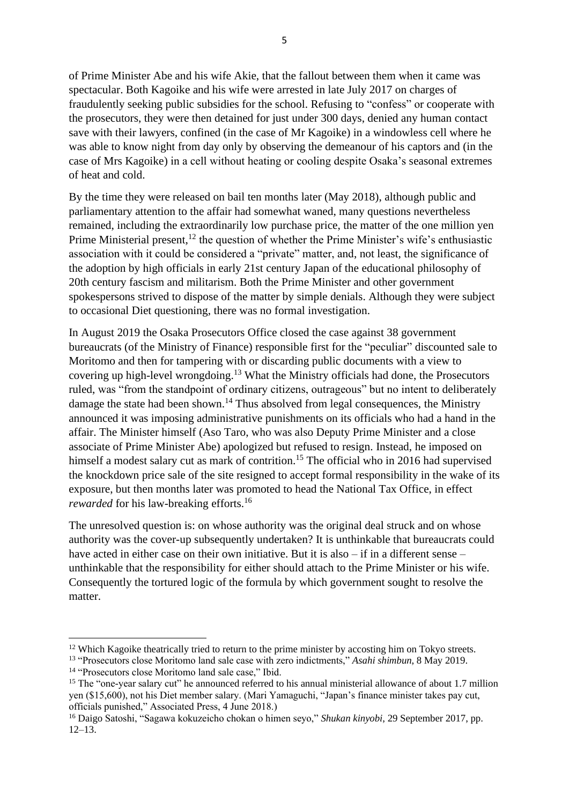5

of Prime Minister Abe and his wife Akie, that the fallout between them when it came was spectacular. Both Kagoike and his wife were arrested in late July 2017 on charges of fraudulently seeking public subsidies for the school. Refusing to "confess" or cooperate with the prosecutors, they were then detained for just under 300 days, denied any human contact save with their lawyers, confined (in the case of Mr Kagoike) in a windowless cell where he was able to know night from day only by observing the demeanour of his captors and (in the case of Mrs Kagoike) in a cell without heating or cooling despite Osaka's seasonal extremes of heat and cold.

By the time they were released on bail ten months later (May 2018), although public and parliamentary attention to the affair had somewhat waned, many questions nevertheless remained, including the extraordinarily low purchase price, the matter of the one million yen Prime Ministerial present,<sup>12</sup> the question of whether the Prime Minister's wife's enthusiastic association with it could be considered a "private" matter, and, not least, the significance of the adoption by high officials in early 21st century Japan of the educational philosophy of 20th century fascism and militarism. Both the Prime Minister and other government spokespersons strived to dispose of the matter by simple denials. Although they were subject to occasional Diet questioning, there was no formal investigation.

In August 2019 the Osaka Prosecutors Office closed the case against 38 government bureaucrats (of the Ministry of Finance) responsible first for the "peculiar" discounted sale to Moritomo and then for tampering with or discarding public documents with a view to covering up high-level wrongdoing. <sup>13</sup> What the Ministry officials had done, the Prosecutors ruled, was "from the standpoint of ordinary citizens, outrageous" but no intent to deliberately damage the state had been shown.<sup>14</sup> Thus absolved from legal consequences, the Ministry announced it was imposing administrative punishments on its officials who had a hand in the affair. The Minister himself (Aso Taro, who was also Deputy Prime Minister and a close associate of Prime Minister Abe) apologized but refused to resign. Instead, he imposed on himself a modest salary cut as mark of contrition.<sup>15</sup> The official who in 2016 had supervised the knockdown price sale of the site resigned to accept formal responsibility in the wake of its exposure, but then months later was promoted to head the National Tax Office, in effect rewarded for his law-breaking efforts.<sup>16</sup>

The unresolved question is: on whose authority was the original deal struck and on whose authority was the cover-up subsequently undertaken? It is unthinkable that bureaucrats could have acted in either case on their own initiative. But it is also – if in a different sense – unthinkable that the responsibility for either should attach to the Prime Minister or his wife. Consequently the tortured logic of the formula by which government sought to resolve the matter.

 $12$  Which Kagoike theatrically tried to return to the prime minister by accosting him on Tokyo streets.

<sup>13</sup> "Prosecutors close Moritomo land sale case with zero indictments," *Asahi shimbun*, 8 May 2019. <sup>14</sup> "Prosecutors close Moritomo land sale case," Ibid.

<sup>&</sup>lt;sup>15</sup> The "one-year salary cut" he announced referred to his annual ministerial allowance of about 1.7 million yen (\$15,600), not his Diet member salary. (Mari Yamaguchi, "Japan's finance minister takes pay cut, officials punished," Associated Press, 4 June 2018.)

<sup>16</sup> Daigo Satoshi, "Sagawa kokuzeicho chokan o himen seyo," *Shukan kinyobi*, 29 September 2017, pp. 12–13.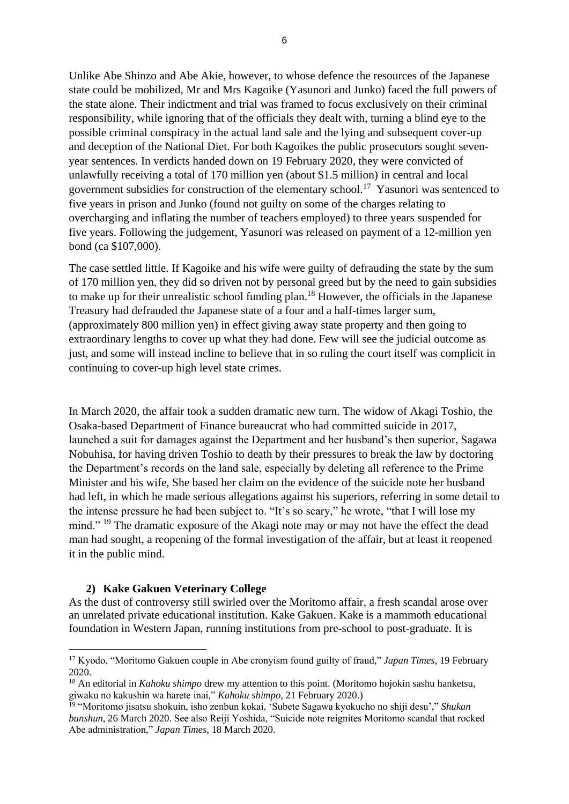Unlike Abe Shinzo and Abe Akie, however, to whose defence the resources of the Japanese state could be mobilized, Mr and Mrs Kagoike (Yasunori and Junko) faced the full powers of the state alone. Their indictment and trial was framed to focus exclusively on their criminal responsibility, while ignoring that of the officials they dealt with, turning a blind eye to the possible criminal conspiracy in the actual land sale and the lying and subsequent cover-up and deception of the National Diet. For both Kagoikes the public prosecutors sought sevenyear sentences. In verdicts handed down on 19 February 2020, they were convicted of unlawfully receiving a total of 170 million yen (about \$1.5 million) in central and local government subsidies for construction of the elementary school. 17 Yasunori was sentenced to five years in prison and Junko (found not guilty on some of the charges relating to overcharging and inflating the number of teachers employed) to three years suspended for five years. Following the judgement, Yasunori was released on payment of a 12-million yen bond (ca \$107,000).

The case settled little. If Kagoike and his wife were guilty of defrauding the state by the sum of 170 million yen, they did so driven not by personal greed but by the need to gain subsidies to make up for their unrealistic school funding plan.<sup>18</sup> However, the officials in the Japanese Treasury had defrauded the Japanese state of a four and a half-times larger sum, (approximately 800 million yen) in effect giving away state property and then going to extraordinary lengths to cover up what they had done. Few will see the judicial outcome as just, and some will instead incline to believe that in so ruling the court itself was complicit in continuing to cover-up high level state crimes.

In March 2020, the affair took a sudden dramatic new turn. The widow of Akagi Toshio, the Osaka-based Department of Finance bureaucrat who had committed suicide in 2017, launched a suit for damages against the Department and her husband's then superior, Sagawa Nobuhisa, for having driven Toshio to death by their pressures to break the law by doctoring the Department's records on the land sale, especially by deleting all reference to the Prime Minister and his wife, She based her claim on the evidence of the suicide note her husband had left, in which he made serious allegations against his superiors, referring in some detail to the intense pressure he had been subject to. "It's so scary," he wrote, "that I will lose my mind." <sup>19</sup> The dramatic exposure of the Akagi note may or may not have the effect the dead man had sought, a reopening of the formal investigation of the affair, but at least it reopened it in the public mind.

#### **2) Kake Gakuen Veterinary College**

As the dust of controversy still swirled over the Moritomo affair, a fresh scandal arose over an unrelated private educational institution. Kake Gakuen. Kake is a mammoth educational foundation in Western Japan, running institutions from pre-school to post-graduate. It is

<sup>17</sup> Kyodo, "Moritomo Gakuen couple in Abe cronyism found guilty of fraud," *Japan Times*, 19 February 2020.

<sup>18</sup> An editorial in *Kahoku shimpo* drew my attention to this point. (Moritomo hojokin sashu hanketsu, giwaku no kakushin wa harete inai," *Kahoku shimpo*, 21 February 2020.)

<sup>19</sup> "Moritomo jisatsu shokuin, isho zenbun kokai, 'Subete Sagawa kyokucho no shiji desu'," *Shukan bunshun*, 26 March 2020. See also Reiji Yoshida, "Suicide note reignites Moritomo scandal that rocked Abe administration," *Japan Times*, 18 March 2020.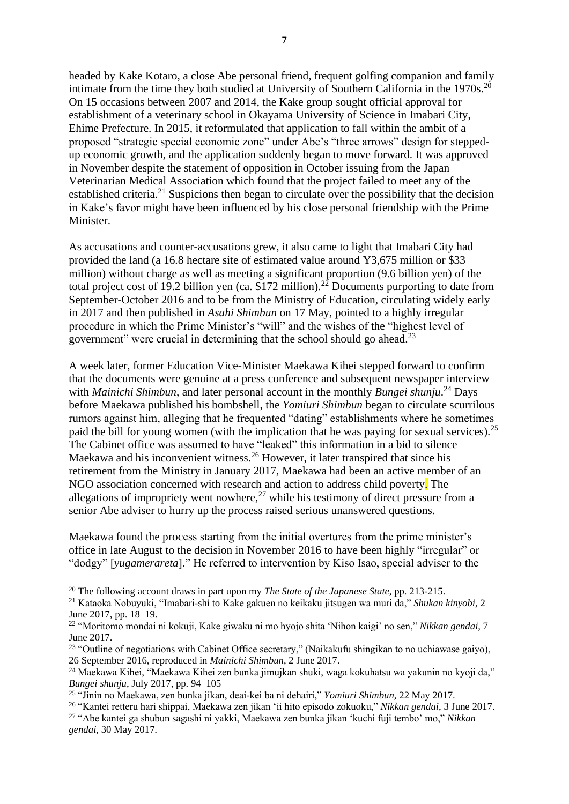headed by Kake Kotaro, a close Abe personal friend, frequent golfing companion and family intimate from the time they both studied at University of Southern California in the 1970s.<sup>20</sup> On 15 occasions between 2007 and 2014, the Kake group sought official approval for establishment of a veterinary school in Okayama University of Science in Imabari City, Ehime Prefecture. In 2015, it reformulated that application to fall within the ambit of a proposed "strategic special economic zone" under Abe's "three arrows" design for steppedup economic growth, and the application suddenly began to move forward. It was approved in November despite the statement of opposition in October issuing from the Japan Veterinarian Medical Association which found that the project failed to meet any of the established criteria.<sup>21</sup> Suspicions then began to circulate over the possibility that the decision in Kake's favor might have been influenced by his close personal friendship with the Prime Minister.

As accusations and counter-accusations grew, it also came to light that Imabari City had provided the land (a 16.8 hectare site of estimated value around Y3,675 million or \$33 million) without charge as well as meeting a significant proportion (9.6 billion yen) of the total project cost of 19.2 billion yen (ca.  $$172$  million).<sup>22</sup> Documents purporting to date from September-October 2016 and to be from the Ministry of Education, circulating widely early in 2017 and then published in *Asahi Shimbun* on 17 May, pointed to a highly irregular procedure in which the Prime Minister's "will" and the wishes of the "highest level of government" were crucial in determining that the school should go ahead.<sup>23</sup>

A week later, former Education Vice-Minister Maekawa Kihei stepped forward to confirm that the documents were genuine at a press conference and subsequent newspaper interview with *Mainichi Shimbun*, and later personal account in the monthly *Bungei shunju*. <sup>24</sup> Days before Maekawa published his bombshell, the *Yomiuri Shimbun* began to circulate scurrilous rumors against him, alleging that he frequented "dating" establishments where he sometimes paid the bill for young women (with the implication that he was paying for sexual services).<sup>25</sup> The Cabinet office was assumed to have "leaked" this information in a bid to silence Maekawa and his inconvenient witness.<sup>26</sup> However, it later transpired that since his retirement from the Ministry in January 2017, Maekawa had been an active member of an NGO association concerned with research and action to address child poverty. The allegations of impropriety went nowhere, $27$  while his testimony of direct pressure from a senior Abe adviser to hurry up the process raised serious unanswered questions.

Maekawa found the process starting from the initial overtures from the prime minister's office in late August to the decision in November 2016 to have been highly "irregular" or "dodgy" [*yugamerareta*]." He referred to intervention by Kiso Isao, special adviser to the

<sup>20</sup> The following account draws in part upon my *The State of the Japanese State*, pp. 213-215.

<sup>21</sup> Kataoka Nobuyuki, "Imabari-shi to Kake gakuen no keikaku jitsugen wa muri da," *Shukan kinyobi*, 2 June 2017, pp. 18–19.

<sup>22</sup> "Moritomo mondai ni kokuji, Kake giwaku ni mo hyojo shita 'Nihon kaigi' no sen," *Nikkan gendai,* 7 June 2017.

<sup>&</sup>lt;sup>23</sup> "Outline of negotiations with Cabinet Office secretary," (Naikakufu shingikan to no uchiawase gaiyo), 26 September 2016, reproduced in *Mainichi Shimbun*, 2 June 2017.

<sup>24</sup> Maekawa Kihei, "Maekawa Kihei zen bunka jimujkan shuki, waga kokuhatsu wa yakunin no kyoji da," *Bungei shunju*, July 2017, pp. 94–105

<sup>25</sup> "Jinin no Maekawa, zen bunka jikan, deai-kei ba ni dehairi," *Yomiuri Shimbun*, 22 May 2017.

<sup>26</sup> "Kantei retteru hari shippai, Maekawa zen jikan 'ii hito episodo zokuoku," *Nikkan gendai*, 3 June 2017. <sup>27</sup> "Abe kantei ga shubun sagashi ni yakki, Maekawa zen bunka jikan 'kuchi fuji tembo' mo," *Nikkan gendai*, 30 May 2017.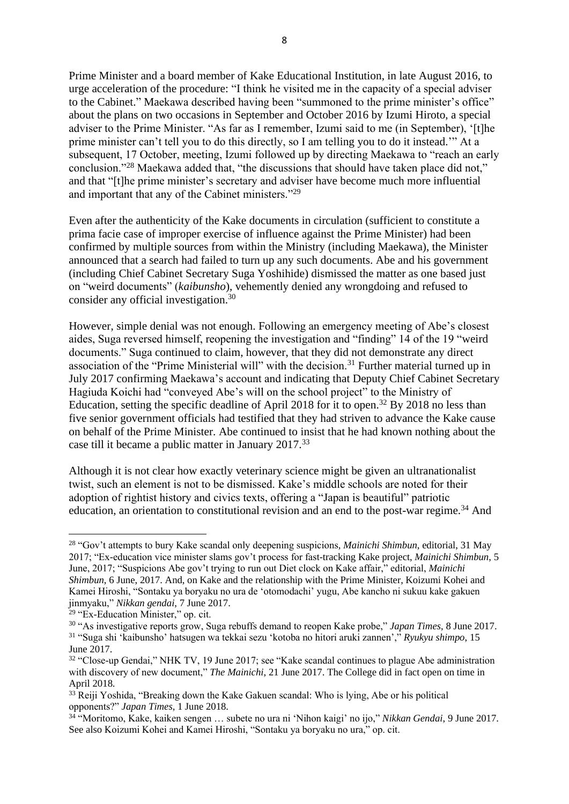Prime Minister and a board member of Kake Educational Institution, in late August 2016, to urge acceleration of the procedure: "I think he visited me in the capacity of a special adviser to the Cabinet." Maekawa described having been "summoned to the prime minister's office" about the plans on two occasions in September and October 2016 by Izumi Hiroto, a special adviser to the Prime Minister. "As far as I remember, Izumi said to me (in September), '[t]he prime minister can't tell you to do this directly, so I am telling you to do it instead.'" At a subsequent, 17 October, meeting, Izumi followed up by directing Maekawa to "reach an early conclusion."<sup>28</sup> Maekawa added that, "the discussions that should have taken place did not," and that "[t]he prime minister's secretary and adviser have become much more influential and important that any of the Cabinet ministers."<sup>29</sup>

Even after the authenticity of the Kake documents in circulation (sufficient to constitute a prima facie case of improper exercise of influence against the Prime Minister) had been confirmed by multiple sources from within the Ministry (including Maekawa), the Minister announced that a search had failed to turn up any such documents. Abe and his government (including Chief Cabinet Secretary Suga Yoshihide) dismissed the matter as one based just on "weird documents" (*kaibunsho*), vehemently denied any wrongdoing and refused to consider any official investigation.<sup>30</sup>

However, simple denial was not enough. Following an emergency meeting of Abe's closest aides, Suga reversed himself, reopening the investigation and "finding" 14 of the 19 "weird documents." Suga continued to claim, however, that they did not demonstrate any direct association of the "Prime Ministerial will" with the decision.<sup>31</sup> Further material turned up in July 2017 confirming Maekawa's account and indicating that Deputy Chief Cabinet Secretary Hagiuda Koichi had "conveyed Abe's will on the school project" to the Ministry of Education, setting the specific deadline of April 2018 for it to open.<sup>32</sup> By 2018 no less than five senior government officials had testified that they had striven to advance the Kake cause on behalf of the Prime Minister. Abe continued to insist that he had known nothing about the case till it became a public matter in January 2017.<sup>33</sup>

Although it is not clear how exactly veterinary science might be given an ultranationalist twist, such an element is not to be dismissed. Kake's middle schools are noted for their adoption of rightist history and civics texts, offering a "Japan is beautiful" patriotic education, an orientation to constitutional revision and an end to the post-war regime.<sup>34</sup> And

<sup>28</sup> "Gov't attempts to bury Kake scandal only deepening suspicions*, Mainichi Shimbun*, editorial, 31 May 2017; "Ex-education vice minister slams gov't process for fast-tracking Kake project, *Mainichi Shimbun*, 5 June, 2017; "Suspicions Abe gov't trying to run out Diet clock on Kake affair," editorial, *Mainichi Shimbun*, 6 June, 2017. And, on Kake and the relationship with the Prime Minister, Koizumi Kohei and Kamei Hiroshi, "Sontaku ya boryaku no ura de 'otomodachi' yugu, Abe kancho ni sukuu kake gakuen jinmyaku," *Nikkan gendai*, 7 June 2017.

<sup>29</sup> "Ex-Education Minister," op. cit.

<sup>30</sup> "As investigative reports grow, Suga rebuffs demand to reopen Kake probe," *Japan Times*, 8 June 2017. <sup>31</sup> "Suga shi 'kaibunsho' hatsugen wa tekkai sezu 'kotoba no hitori aruki zannen'," *Ryukyu shimpo*, 15 June 2017.

<sup>&</sup>lt;sup>32</sup> "Close-up Gendai," NHK TV, 19 June 2017; see "Kake scandal continues to plague Abe administration with discovery of new document," *The Mainichi*, 21 June 2017. The College did in fact open on time in April 2018.

 $33$  Reiji Yoshida, "Breaking down the Kake Gakuen scandal: Who is lying, Abe or his political opponents?" *Japan Times*, 1 June 2018.

<sup>34</sup> "Moritomo, Kake, kaiken sengen … subete no ura ni 'Nihon kaigi' no ijo," *Nikkan Gendai*, 9 June 2017. See also Koizumi Kohei and Kamei Hiroshi, "Sontaku ya boryaku no ura," op. cit.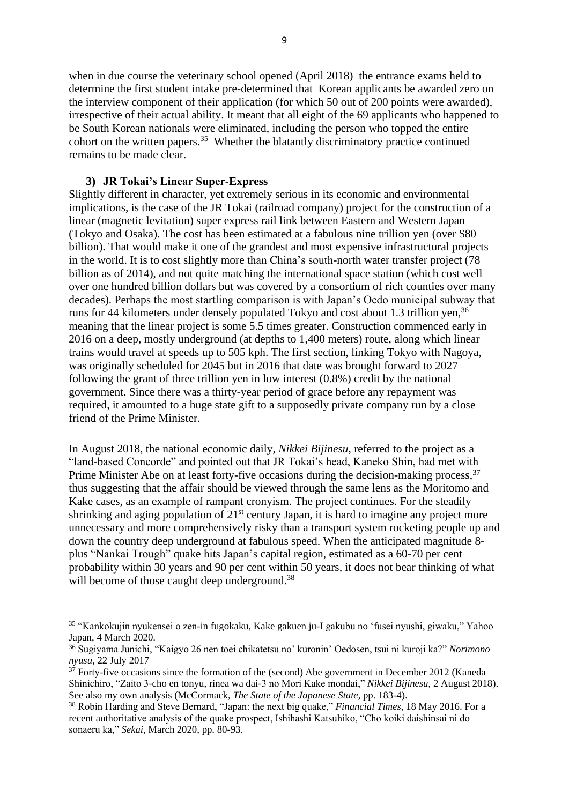when in due course the veterinary school opened (April 2018) the entrance exams held to determine the first student intake pre-determined that Korean applicants be awarded zero on the interview component of their application (for which 50 out of 200 points were awarded), irrespective of their actual ability. It meant that all eight of the 69 applicants who happened to be South Korean nationals were eliminated, including the person who topped the entire cohort on the written papers.<sup>35</sup> Whether the blatantly discriminatory practice continued remains to be made clear.

#### **3) JR Tokai's Linear Super-Express**

Slightly different in character, yet extremely serious in its economic and environmental implications, is the case of the JR Tokai (railroad company) project for the construction of a linear (magnetic levitation) super express rail link between Eastern and Western Japan (Tokyo and Osaka). The cost has been estimated at a fabulous nine trillion yen (over \$80 billion). That would make it one of the grandest and most expensive infrastructural projects in the world. It is to cost slightly more than China's south-north water transfer project (78 billion as of 2014), and not quite matching the international space station (which cost well over one hundred billion dollars but was covered by a consortium of rich counties over many decades). Perhaps the most startling comparison is with Japan's Oedo municipal subway that runs for 44 kilometers under densely populated Tokyo and cost about 1.3 trillion yen,<sup>36</sup> meaning that the linear project is some 5.5 times greater. Construction commenced early in 2016 on a deep, mostly underground (at depths to 1,400 meters) route, along which linear trains would travel at speeds up to 505 kph. The first section, linking Tokyo with Nagoya, was originally scheduled for 2045 but in 2016 that date was brought forward to 2027 following the grant of three trillion yen in low interest (0.8%) credit by the national government. Since there was a thirty-year period of grace before any repayment was required, it amounted to a huge state gift to a supposedly private company run by a close friend of the Prime Minister.

In August 2018, the national economic daily, *Nikkei Bijinesu*, referred to the project as a "land-based Concorde" and pointed out that JR Tokai's head, Kaneko Shin, had met with Prime Minister Abe on at least forty-five occasions during the decision-making process,<sup>37</sup> thus suggesting that the affair should be viewed through the same lens as the Moritomo and Kake cases, as an example of rampant cronyism. The project continues. For the steadily shrinking and aging population of 21<sup>st</sup> century Japan, it is hard to imagine any project more unnecessary and more comprehensively risky than a transport system rocketing people up and down the country deep underground at fabulous speed. When the anticipated magnitude 8 plus "Nankai Trough" quake hits Japan's capital region, estimated as a 60-70 per cent probability within 30 years and 90 per cent within 50 years, it does not bear thinking of what will become of those caught deep underground.<sup>38</sup>

<sup>35</sup> "Kankokujin nyukensei o zen-in fugokaku, Kake gakuen ju-I gakubu no 'fusei nyushi, giwaku," Yahoo Japan, 4 March 2020.

<sup>36</sup> Sugiyama Junichi, "Kaigyo 26 nen toei chikatetsu no' kuronin' Oedosen, tsui ni kuroji ka?" *Norimono nyusu*, 22 July 2017

 $37$  Forty-five occasions since the formation of the (second) Abe government in December 2012 (Kaneda Shinichiro, "Zaito 3-cho en tonyu, rinea wa dai-3 no Mori Kake mondai," *Nikkei Bijinesu*, 2 August 2018). See also my own analysis (McCormack, *The State of the Japanese State,* pp. 183-4).

<sup>38</sup> Robin Harding and Steve Bernard, "Japan: the next big quake," *Financial Times*, 18 May 2016. For a recent authoritative analysis of the quake prospect, Ishihashi Katsuhiko, "Cho koiki daishinsai ni do sonaeru ka," *Sekai,* March 2020, pp. 80-93.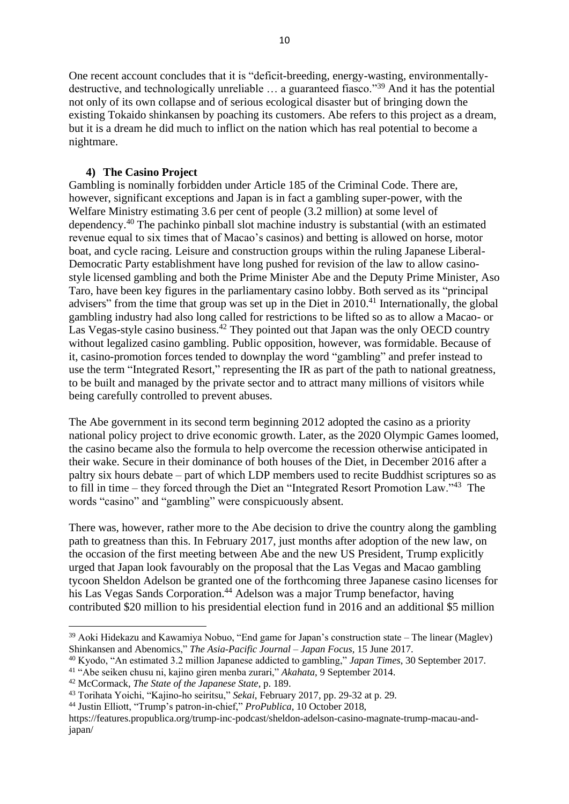One recent account concludes that it is "deficit-breeding, energy-wasting, environmentallydestructive, and technologically unreliable … a guaranteed fiasco."<sup>39</sup> And it has the potential not only of its own collapse and of serious ecological disaster but of bringing down the existing Tokaido shinkansen by poaching its customers. Abe refers to this project as a dream, but it is a dream he did much to inflict on the nation which has real potential to become a nightmare.

### **4) The Casino Project**

Gambling is nominally forbidden under Article 185 of the Criminal Code. There are, however, significant exceptions and Japan is in fact a gambling super-power, with the Welfare Ministry estimating 3.6 per cent of people (3.2 million) at some level of dependency.<sup>40</sup> The pachinko pinball slot machine industry is substantial (with an estimated revenue equal to six times that of Macao's casinos) and betting is allowed on horse, motor boat, and cycle racing. Leisure and construction groups within the ruling Japanese Liberal-Democratic Party establishment have long pushed for revision of the law to allow casinostyle licensed gambling and both the Prime Minister Abe and the Deputy Prime Minister, Aso Taro, have been key figures in the parliamentary casino lobby. Both served as its "principal advisers" from the time that group was set up in the Diet in 2010.<sup>41</sup> Internationally, the global gambling industry had also long called for restrictions to be lifted so as to allow a Macao- or Las Vegas-style casino business.<sup>42</sup> They pointed out that Japan was the only OECD country without legalized casino gambling. Public opposition, however, was formidable. Because of it, casino-promotion forces tended to downplay the word "gambling" and prefer instead to use the term "Integrated Resort," representing the IR as part of the path to national greatness, to be built and managed by the private sector and to attract many millions of visitors while being carefully controlled to prevent abuses.

The Abe government in its second term beginning 2012 adopted the casino as a priority national policy project to drive economic growth. Later, as the 2020 Olympic Games loomed, the casino became also the formula to help overcome the recession otherwise anticipated in their wake. Secure in their dominance of both houses of the Diet, in December 2016 after a paltry six hours debate – part of which LDP members used to recite Buddhist scriptures so as to fill in time – they forced through the Diet an "Integrated Resort Promotion Law."<sup>43</sup> The words "casino" and "gambling" were conspicuously absent.

There was, however, rather more to the Abe decision to drive the country along the gambling path to greatness than this. In February 2017, just months after adoption of the new law, on the occasion of the first meeting between Abe and the new US President, Trump explicitly urged that Japan look favourably on the proposal that the Las Vegas and Macao gambling tycoon Sheldon Adelson be granted one of the forthcoming three Japanese casino licenses for his Las Vegas Sands Corporation. <sup>44</sup> Adelson was a major Trump benefactor, having contributed \$20 million to his presidential election fund in 2016 and an additional \$5 million

<sup>39</sup> Aoki Hidekazu and Kawamiya Nobuo, "End game for Japan's construction state – The linear (Maglev) Shinkansen and Abenomics," *The Asia-Pacific Journal – Japan Focus,* 15 June 2017.

<sup>40</sup> Kyodo, "An estimated 3.2 million Japanese addicted to gambling," *Japan Times*, 30 September 2017.

<sup>41</sup> "Abe seiken chusu ni, kajino giren menba zurari," *Akahata*, 9 September 2014.

<sup>42</sup> McCormack, *The State of the Japanese State*, p. 189.

<sup>43</sup> Torihata Yoichi, "Kajino-ho seiritsu," *Sekai*, February 2017, pp. 29-32 at p. 29.

<sup>44</sup> Justin Elliott, "Trump's patron-in-chief," *ProPublica*, 10 October 2018,

https://features.propublica.org/trump-inc-podcast/sheldon-adelson-casino-magnate-trump-macau-andjapan/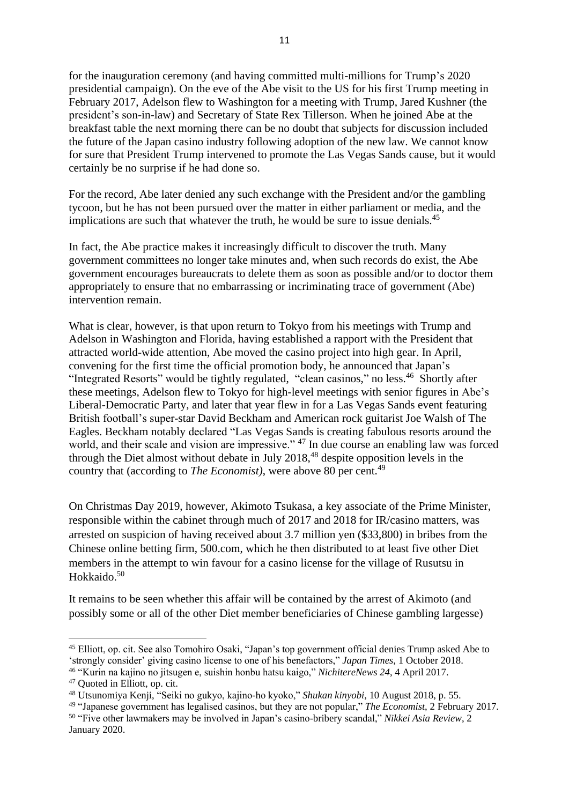for the inauguration ceremony (and having committed multi-millions for Trump's 2020 presidential campaign). On the eve of the Abe visit to the US for his first Trump meeting in February 2017, Adelson flew to Washington for a meeting with Trump, Jared Kushner (the president's son-in-law) and Secretary of State Rex Tillerson. When he joined Abe at the breakfast table the next morning there can be no doubt that subjects for discussion included the future of the Japan casino industry following adoption of the new law. We cannot know for sure that President Trump intervened to promote the Las Vegas Sands cause, but it would certainly be no surprise if he had done so.

For the record, Abe later denied any such exchange with the President and/or the gambling tycoon, but he has not been pursued over the matter in either parliament or media, and the implications are such that whatever the truth, he would be sure to issue denials.<sup>45</sup>

In fact, the Abe practice makes it increasingly difficult to discover the truth. Many government committees no longer take minutes and, when such records do exist, the Abe government encourages bureaucrats to delete them as soon as possible and/or to doctor them appropriately to ensure that no embarrassing or incriminating trace of government (Abe) intervention remain.

What is clear, however, is that upon return to Tokyo from his meetings with Trump and Adelson in Washington and Florida, having established a rapport with the President that attracted world-wide attention, Abe moved the casino project into high gear. In April, convening for the first time the official promotion body, he announced that Japan's "Integrated Resorts" would be tightly regulated, "clean casinos," no less.<sup>46</sup> Shortly after these meetings, Adelson flew to Tokyo for high-level meetings with senior figures in Abe's Liberal-Democratic Party, and later that year flew in for a Las Vegas Sands event featuring British football's super-star David Beckham and American rock guitarist Joe Walsh of The Eagles. Beckham notably declared "Las Vegas Sands is creating fabulous resorts around the world, and their scale and vision are impressive." <sup>47</sup> In due course an enabling law was forced through the Diet almost without debate in July 2018, <sup>48</sup> despite opposition levels in the country that (according to *The Economist*), were above 80 per cent.<sup>49</sup>

On Christmas Day 2019, however, Akimoto Tsukasa, a key associate of the Prime Minister, responsible within the cabinet through much of 2017 and 2018 for IR/casino matters, was arrested on suspicion of having received about 3.7 million yen (\$33,800) in bribes from the Chinese online betting firm, 500.com, which he then distributed to at least five other Diet members in the attempt to win favour for a casino license for the village of Rusutsu in Hokkaido. 50

It remains to be seen whether this affair will be contained by the arrest of Akimoto (and possibly some or all of the other Diet member beneficiaries of Chinese gambling largesse)

<sup>45</sup> Elliott, op. cit. See also Tomohiro Osaki, "Japan's top government official denies Trump asked Abe to 'strongly consider' giving casino license to one of his benefactors," *Japan Times*, 1 October 2018. <sup>46</sup> "Kurin na kajino no jitsugen e, suishin honbu hatsu kaigo," *NichitereNews 24*, 4 April 2017.

<sup>47</sup> Quoted in Elliott, op. cit.

<sup>48</sup> Utsunomiya Kenji, "Seiki no gukyo, kajino-ho kyoko," *Shukan kinyobi*, 10 August 2018, p. 55.

<sup>49</sup> "Japanese government has legalised casinos, but they are not popular," *The Economist*, 2 February 2017. <sup>50</sup> "Five other lawmakers may be involved in Japan's casino-bribery scandal," *Nikkei Asia Review*, 2 January 2020.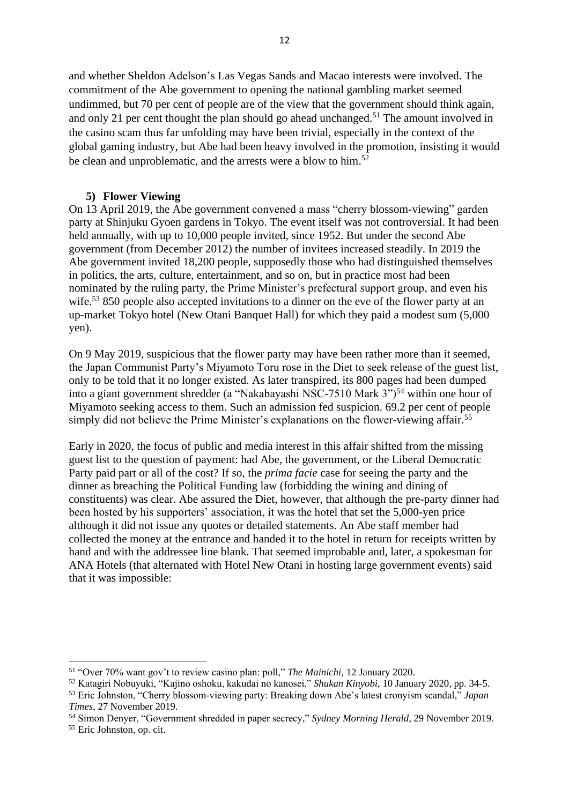and whether Sheldon Adelson's Las Vegas Sands and Macao interests were involved. The commitment of the Abe government to opening the national gambling market seemed undimmed, but 70 per cent of people are of the view that the government should think again, and only 21 per cent thought the plan should go ahead unchanged.<sup>51</sup> The amount involved in the casino scam thus far unfolding may have been trivial, especially in the context of the global gaming industry, but Abe had been heavy involved in the promotion, insisting it would be clean and unproblematic, and the arrests were a blow to him.<sup>52</sup>

#### **5) Flower Viewing**

On 13 April 2019, the Abe government convened a mass "cherry blossom-viewing" garden party at Shinjuku Gyoen gardens in Tokyo. The event itself was not controversial. It had been held annually, with up to 10,000 people invited, since 1952. But under the second Abe government (from December 2012) the number of invitees increased steadily. In 2019 the Abe government invited 18,200 people, supposedly those who had distinguished themselves in politics, the arts, culture, entertainment, and so on, but in practice most had been nominated by the ruling party, the Prime Minister's prefectural support group, and even his wife.<sup>53</sup> 850 people also accepted invitations to a dinner on the eve of the flower party at an up-market Tokyo hotel (New Otani Banquet Hall) for which they paid a modest sum (5,000 yen).

On 9 May 2019, suspicious that the flower party may have been rather more than it seemed, the Japan Communist Party's Miyamoto Toru rose in the Diet to seek release of the guest list, only to be told that it no longer existed. As later transpired, its 800 pages had been dumped into a giant government shredder (a "Nakabayashi NSC-7510 Mark  $3$ ")<sup>54</sup> within one hour of Miyamoto seeking access to them. Such an admission fed suspicion. 69.2 per cent of people simply did not believe the Prime Minister's explanations on the flower-viewing affair.<sup>55</sup>

Early in 2020, the focus of public and media interest in this affair shifted from the missing guest list to the question of payment: had Abe, the government, or the Liberal Democratic Party paid part or all of the cost? If so, the *prima facie* case for seeing the party and the dinner as breaching the Political Funding law (forbidding the wining and dining of constituents) was clear. Abe assured the Diet, however, that although the pre-party dinner had been hosted by his supporters' association, it was the hotel that set the 5,000-yen price although it did not issue any quotes or detailed statements. An Abe staff member had collected the money at the entrance and handed it to the hotel in return for receipts written by hand and with the addressee line blank. That seemed improbable and, later, a spokesman for ANA Hotels (that alternated with Hotel New Otani in hosting large government events) said that it was impossible:

<sup>51</sup> "Over 70% want gov't to review casino plan: poll," *The Mainichi*, 12 January 2020.

<sup>52</sup> Katagiri Nobuyuki, "Kajino oshoku, kakudai no kanosei," *Shukan Kinyobi*, 10 January 2020, pp. 34-5. <sup>53</sup> Eric Johnston, "Cherry blossom-viewing party: Breaking down Abe's latest cronyism scandal," *Japan Times*, 27 November 2019.

<sup>54</sup> Simon Denyer, "Government shredded in paper secrecy," *Sydney Morning Herald*, 29 November 2019.

<sup>55</sup> Eric Johnston, op. cit.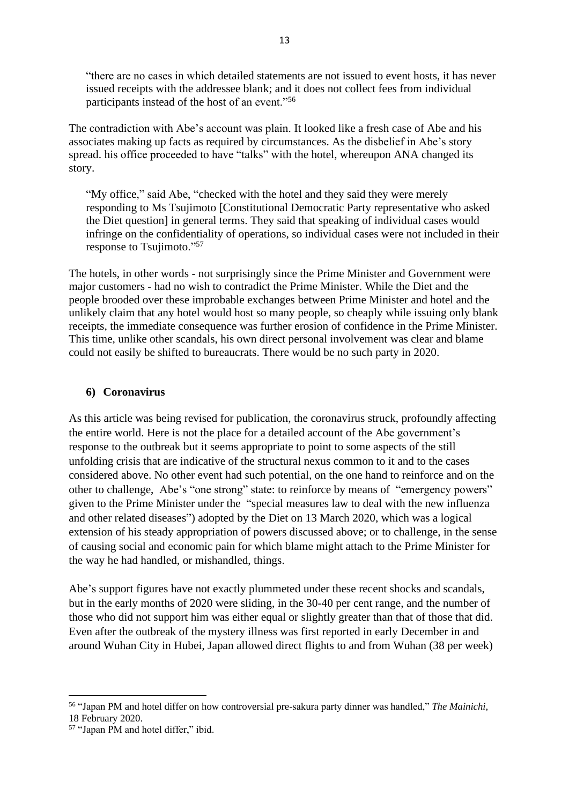"there are no cases in which detailed statements are not issued to event hosts, it has never issued receipts with the addressee blank; and it does not collect fees from individual participants instead of the host of an event."<sup>56</sup>

The contradiction with Abe's account was plain. It looked like a fresh case of Abe and his associates making up facts as required by circumstances. As the disbelief in Abe's story spread. his office proceeded to have "talks" with the hotel, whereupon ANA changed its story.

"My office," said Abe, "checked with the hotel and they said they were merely responding to Ms Tsujimoto [Constitutional Democratic Party representative who asked the Diet question] in general terms. They said that speaking of individual cases would infringe on the confidentiality of operations, so individual cases were not included in their response to Tsujimoto."<sup>57</sup>

The hotels, in other words - not surprisingly since the Prime Minister and Government were major customers - had no wish to contradict the Prime Minister. While the Diet and the people brooded over these improbable exchanges between Prime Minister and hotel and the unlikely claim that any hotel would host so many people, so cheaply while issuing only blank receipts, the immediate consequence was further erosion of confidence in the Prime Minister. This time, unlike other scandals, his own direct personal involvement was clear and blame could not easily be shifted to bureaucrats. There would be no such party in 2020.

### **6) Coronavirus**

As this article was being revised for publication, the coronavirus struck, profoundly affecting the entire world. Here is not the place for a detailed account of the Abe government's response to the outbreak but it seems appropriate to point to some aspects of the still unfolding crisis that are indicative of the structural nexus common to it and to the cases considered above. No other event had such potential, on the one hand to reinforce and on the other to challenge, Abe's "one strong" state: to reinforce by means of "emergency powers" given to the Prime Minister under the "special measures law to deal with the new influenza and other related diseases") adopted by the Diet on 13 March 2020, which was a logical extension of his steady appropriation of powers discussed above; or to challenge, in the sense of causing social and economic pain for which blame might attach to the Prime Minister for the way he had handled, or mishandled, things.

Abe's support figures have not exactly plummeted under these recent shocks and scandals, but in the early months of 2020 were sliding, in the 30-40 per cent range, and the number of those who did not support him was either equal or slightly greater than that of those that did. Even after the outbreak of the mystery illness was first reported in early December in and around Wuhan City in Hubei, Japan allowed direct flights to and from Wuhan (38 per week)

<sup>56</sup> "Japan PM and hotel differ on how controversial pre-sakura party dinner was handled," *The Mainichi*, 18 February 2020.

<sup>57</sup> "Japan PM and hotel differ," ibid.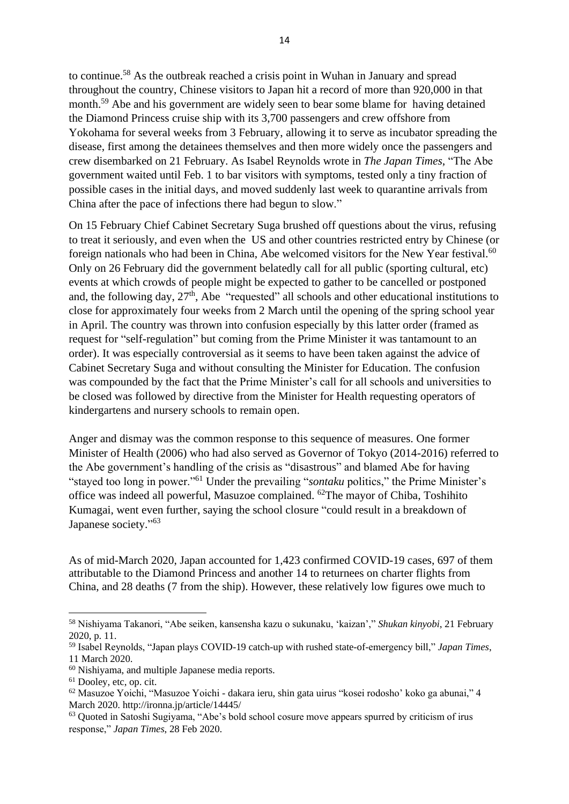to continue.<sup>58</sup> As the outbreak reached a crisis point in Wuhan in January and spread throughout the country, Chinese visitors to Japan hit a record of more than 920,000 in that month.<sup>59</sup> Abe and his government are widely seen to bear some blame for having detained the Diamond Princess cruise ship with its 3,700 passengers and crew offshore from Yokohama for several weeks from 3 February, allowing it to serve as incubator spreading the disease, first among the detainees themselves and then more widely once the passengers and crew disembarked on 21 February. As Isabel Reynolds wrote in *The Japan Times*, "The Abe government waited until Feb. 1 to bar visitors with symptoms, tested only a tiny fraction of possible cases in the initial days, and moved suddenly last week to quarantine arrivals from China after the pace of infections there had begun to slow."

On 15 February Chief Cabinet Secretary Suga brushed off questions about the virus, refusing to treat it seriously, and even when the US and other countries restricted entry by Chinese (or foreign nationals who had been in China, Abe welcomed visitors for the New Year festival.<sup>60</sup> Only on 26 February did the government belatedly call for all public (sporting cultural, etc) events at which crowds of people might be expected to gather to be cancelled or postponed and, the following day,  $27<sup>th</sup>$ , Abe "requested" all schools and other educational institutions to close for approximately four weeks from 2 March until the opening of the spring school year in April. The country was thrown into confusion especially by this latter order (framed as request for "self-regulation" but coming from the Prime Minister it was tantamount to an order). It was especially controversial as it seems to have been taken against the advice of Cabinet Secretary Suga and without consulting the Minister for Education. The confusion was compounded by the fact that the Prime Minister's call for all schools and universities to be closed was followed by directive from the Minister for Health requesting operators of kindergartens and nursery schools to remain open.

Anger and dismay was the common response to this sequence of measures. One former Minister of Health (2006) who had also served as Governor of Tokyo (2014-2016) referred to the Abe government's handling of the crisis as "disastrous" and blamed Abe for having "stayed too long in power."<sup>61</sup> Under the prevailing "*sontaku* politics," the Prime Minister's office was indeed all powerful, Masuzoe complained. <sup>62</sup>The mayor of Chiba, Toshihito Kumagai, went even further, saying the school closure "could result in a breakdown of Japanese society."<sup>63</sup>

As of mid-March 2020, Japan accounted for 1,423 confirmed COVID-19 cases, 697 of them attributable to the Diamond Princess and another 14 to returnees on charter flights from China, and 28 deaths (7 from the ship). However, these relatively low figures owe much to

<sup>58</sup> Nishiyama Takanori, "Abe seiken, kansensha kazu o sukunaku, 'kaizan'," *Shukan kinyobi*, 21 February 2020, p. 11.

<sup>59</sup> Isabel Reynolds, "Japan plays COVID-19 catch-up with rushed state-of-emergency bill," *Japan Times*, 11 March 2020.

<sup>60</sup> Nishiyama, and multiple Japanese media reports.

<sup>&</sup>lt;sup>61</sup> Dooley, etc, op. cit.

<sup>62</sup> Masuzoe Yoichi, "Masuzoe Yoichi - dakara ieru, shin gata uirus "kosei rodosho' koko ga abunai," 4 March 2020. http://ironna.jp/article/14445/

<sup>63</sup> Quoted in Satoshi Sugiyama, "Abe's bold school cosure move appears spurred by criticism of irus response," *Japan Times*, 28 Feb 2020.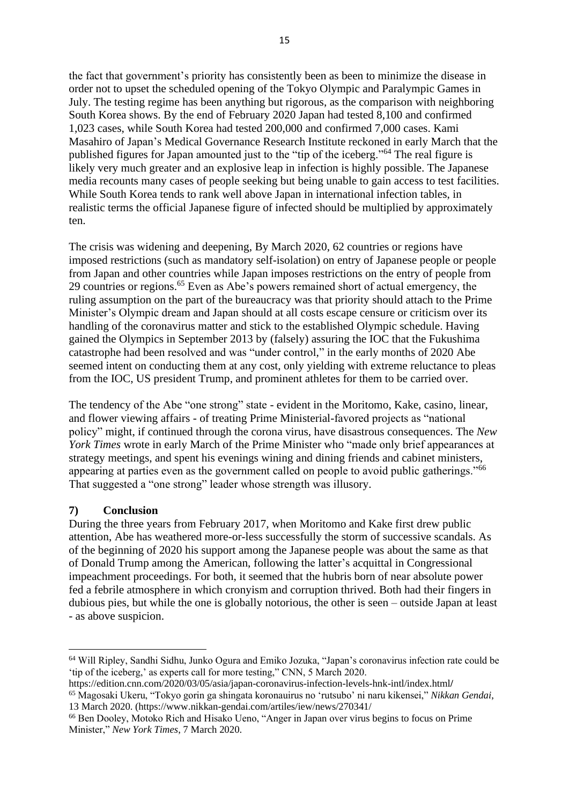the fact that government's priority has consistently been as been to minimize the disease in order not to upset the scheduled opening of the Tokyo Olympic and Paralympic Games in July. The testing regime has been anything but rigorous, as the comparison with neighboring South Korea shows. By the end of February 2020 Japan had tested 8,100 and confirmed 1,023 cases, while South Korea had tested 200,000 and confirmed 7,000 cases. Kami Masahiro of Japan's Medical Governance Research Institute reckoned in early March that the published figures for Japan amounted just to the "tip of the iceberg."<sup>64</sup> The real figure is likely very much greater and an explosive leap in infection is highly possible. The Japanese media recounts many cases of people seeking but being unable to gain access to test facilities. While South Korea tends to rank well above Japan in international infection tables, in realistic terms the official Japanese figure of infected should be multiplied by approximately ten.

The crisis was widening and deepening, By March 2020, 62 countries or regions have imposed restrictions (such as mandatory self-isolation) on entry of Japanese people or people from Japan and other countries while Japan imposes restrictions on the entry of people from 29 countries or regions.<sup>65</sup> Even as Abe's powers remained short of actual emergency, the ruling assumption on the part of the bureaucracy was that priority should attach to the Prime Minister's Olympic dream and Japan should at all costs escape censure or criticism over its handling of the coronavirus matter and stick to the established Olympic schedule. Having gained the Olympics in September 2013 by (falsely) assuring the IOC that the Fukushima catastrophe had been resolved and was "under control," in the early months of 2020 Abe seemed intent on conducting them at any cost, only yielding with extreme reluctance to pleas from the IOC, US president Trump, and prominent athletes for them to be carried over.

The tendency of the Abe "one strong" state - evident in the Moritomo, Kake, casino, linear, and flower viewing affairs - of treating Prime Ministerial-favored projects as "national policy" might, if continued through the corona virus, have disastrous consequences. The *New York Times* wrote in early March of the Prime Minister who "made only brief appearances at strategy meetings, and spent his evenings wining and dining friends and cabinet ministers, appearing at parties even as the government called on people to avoid public gatherings."<sup>66</sup> That suggested a "one strong" leader whose strength was illusory.

### **7) Conclusion**

During the three years from February 2017, when Moritomo and Kake first drew public attention, Abe has weathered more-or-less successfully the storm of successive scandals. As of the beginning of 2020 his support among the Japanese people was about the same as that of Donald Trump among the American, following the latter's acquittal in Congressional impeachment proceedings. For both, it seemed that the hubris born of near absolute power fed a febrile atmosphere in which cronyism and corruption thrived. Both had their fingers in dubious pies, but while the one is globally notorious, the other is seen – outside Japan at least - as above suspicion.

<sup>64</sup> Will Ripley, Sandhi Sidhu, Junko Ogura and Emiko Jozuka, "Japan's coronavirus infection rate could be 'tip of the iceberg,' as experts call for more testing," CNN, 5 March 2020.

https://edition.cnn.com/2020/03/05/asia/japan-coronavirus-infection-levels-hnk-intl/index.html**/** 

<sup>65</sup> Magosaki Ukeru, "Tokyo gorin ga shingata koronauirus no 'rutsubo' ni naru kikensei," *Nikkan Gendai*, 13 March 2020. (https://www.nikkan-gendai.com/artiles/iew/news/270341/

<sup>66</sup> Ben Dooley, Motoko Rich and Hisako Ueno, "Anger in Japan over virus begins to focus on Prime Minister," *New York Times*, 7 March 2020.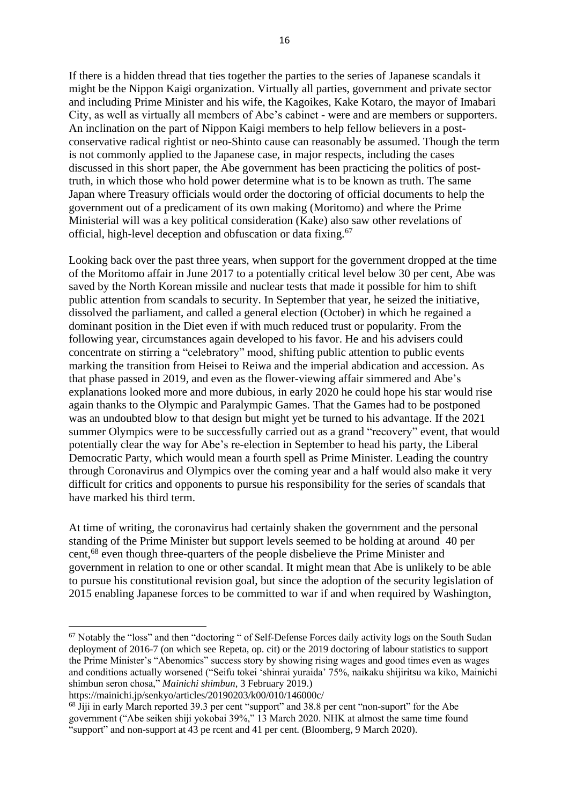If there is a hidden thread that ties together the parties to the series of Japanese scandals it might be the Nippon Kaigi organization. Virtually all parties, government and private sector and including Prime Minister and his wife, the Kagoikes, Kake Kotaro, the mayor of Imabari City, as well as virtually all members of Abe's cabinet - were and are members or supporters. An inclination on the part of Nippon Kaigi members to help fellow believers in a postconservative radical rightist or neo-Shinto cause can reasonably be assumed. Though the term is not commonly applied to the Japanese case, in major respects, including the cases discussed in this short paper, the Abe government has been practicing the politics of posttruth, in which those who hold power determine what is to be known as truth. The same Japan where Treasury officials would order the doctoring of official documents to help the government out of a predicament of its own making (Moritomo) and where the Prime Ministerial will was a key political consideration (Kake) also saw other revelations of official, high-level deception and obfuscation or data fixing.<sup>67</sup>

Looking back over the past three years, when support for the government dropped at the time of the Moritomo affair in June 2017 to a potentially critical level below 30 per cent, Abe was saved by the North Korean missile and nuclear tests that made it possible for him to shift public attention from scandals to security. In September that year, he seized the initiative, dissolved the parliament, and called a general election (October) in which he regained a dominant position in the Diet even if with much reduced trust or popularity. From the following year, circumstances again developed to his favor. He and his advisers could concentrate on stirring a "celebratory" mood, shifting public attention to public events marking the transition from Heisei to Reiwa and the imperial abdication and accession. As that phase passed in 2019, and even as the flower-viewing affair simmered and Abe's explanations looked more and more dubious, in early 2020 he could hope his star would rise again thanks to the Olympic and Paralympic Games. That the Games had to be postponed was an undoubted blow to that design but might yet be turned to his advantage. If the 2021 summer Olympics were to be successfully carried out as a grand "recovery" event, that would potentially clear the way for Abe's re-election in September to head his party, the Liberal Democratic Party, which would mean a fourth spell as Prime Minister. Leading the country through Coronavirus and Olympics over the coming year and a half would also make it very difficult for critics and opponents to pursue his responsibility for the series of scandals that have marked his third term.

At time of writing, the coronavirus had certainly shaken the government and the personal standing of the Prime Minister but support levels seemed to be holding at around 40 per cent, <sup>68</sup> even though three-quarters of the people disbelieve the Prime Minister and government in relation to one or other scandal. It might mean that Abe is unlikely to be able to pursue his constitutional revision goal, but since the adoption of the security legislation of 2015 enabling Japanese forces to be committed to war if and when required by Washington,

<sup>67</sup> Notably the "loss" and then "doctoring " of Self-Defense Forces daily activity logs on the South Sudan deployment of 2016-7 (on which see Repeta, op. cit) or the 2019 doctoring of labour statistics to support the Prime Minister's "Abenomics" success story by showing rising wages and good times even as wages and conditions actually worsened ("Seifu tokei 'shinrai yuraida' 75%, naikaku shijiritsu wa kiko, Mainichi shimbun seron chosa," *Mainichi shimbun*, 3 February 2019.)

https://mainichi.jp/senkyo/articles/20190203/k00/010/146000c/

<sup>&</sup>lt;sup>68</sup> Jiji in early March reported 39.3 per cent "support" and 38.8 per cent "non-suport" for the Abe government ("Abe seiken shiji yokobai 39%," 13 March 2020. NHK at almost the same time found "support" and non-support at 43 pe rcent and 41 per cent. (Bloomberg, 9 March 2020).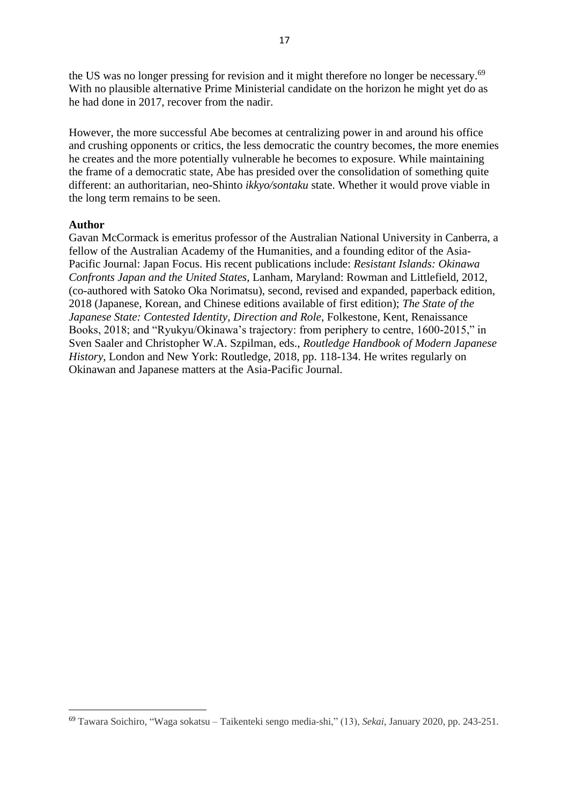the US was no longer pressing for revision and it might therefore no longer be necessary.<sup>69</sup> With no plausible alternative Prime Ministerial candidate on the horizon he might yet do as he had done in 2017, recover from the nadir.

However, the more successful Abe becomes at centralizing power in and around his office and crushing opponents or critics, the less democratic the country becomes, the more enemies he creates and the more potentially vulnerable he becomes to exposure. While maintaining the frame of a democratic state, Abe has presided over the consolidation of something quite different: an authoritarian, neo-Shinto *ikkyo/sontaku* state. Whether it would prove viable in the long term remains to be seen.

#### **Author**

Gavan McCormack is emeritus professor of the Australian National University in Canberra, a fellow of the Australian Academy of the Humanities, and a founding editor of the Asia-Pacific Journal: Japan Focus. His recent publications include: *Resistant Islands: Okinawa Confronts Japan and the United States*, Lanham, Maryland: Rowman and Littlefield, 2012, (co-authored with Satoko Oka Norimatsu), second, revised and expanded, paperback edition, 2018 (Japanese, Korean, and Chinese editions available of first edition); *The State of the Japanese State: Contested Identity, Direction and Role*, Folkestone, Kent, Renaissance Books, 2018; and "Ryukyu/Okinawa's trajectory: from periphery to centre, 1600-2015," in Sven Saaler and Christopher W.A. Szpilman, eds., *Routledge Handbook of Modern Japanese History*, London and New York: Routledge, 2018, pp. 118-134. He writes regularly on Okinawan and Japanese matters at the Asia-Pacific Journal.

<sup>69</sup> Tawara Soichiro, "Waga sokatsu – Taikenteki sengo media-shi," (13), *Sekai*, January 2020, pp. 243-251.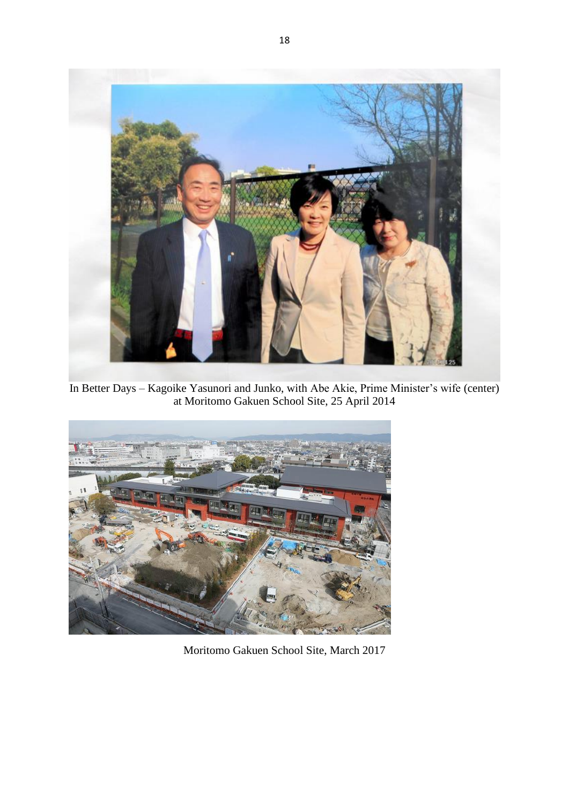

In Better Days – Kagoike Yasunori and Junko, with Abe Akie, Prime Minister's wife (center) at Moritomo Gakuen School Site, 25 April 2014



Moritomo Gakuen School Site, March 2017